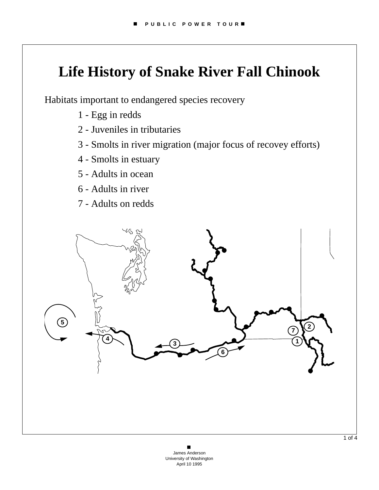# **Life History of Snake River Fall Chinook**

Habitats important to endangered species recovery

- 1 Egg in redds
- 2 Juveniles in tributaries
- 3 Smolts in river migration (major focus of recovey efforts)
- 4 Smolts in estuary
- 5 Adults in ocean
- 6 Adults in river
- 7 Adults on redds

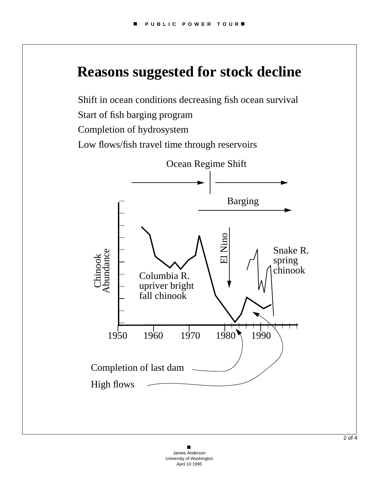## **Reasons suggested for stock decline**

Shift in ocean conditions decreasing fish ocean survival Start of fish barging program

Completion of hydrosystem

Low flows/fish travel time through reservoirs

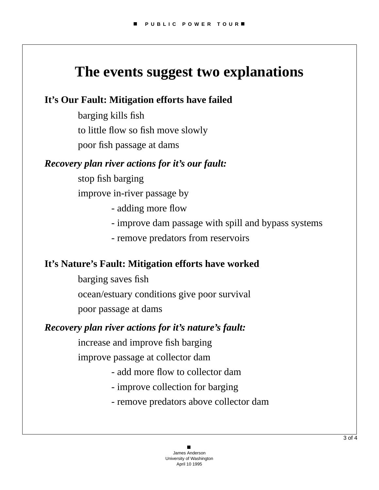## **The events suggest two explanations**

### **It's Our Fault: Mitigation efforts have failed**

barging kills fish to little flow so fish move slowly poor fish passage at dams

#### *Recovery plan river actions for it's our fault:*

- stop fish barging improve in-river passage by
	- adding more flow
	- improve dam passage with spill and bypass systems
	- remove predators from reservoirs

### **It's Nature's Fault: Mitigation efforts have worked**

barging saves fish ocean/estuary conditions give poor survival poor passage at dams

#### *Recovery plan river actions for it's nature's fault:*

increase and improve fish barging

improve passage at collector dam

- add more flow to collector dam
- improve collection for barging
- remove predators above collector dam